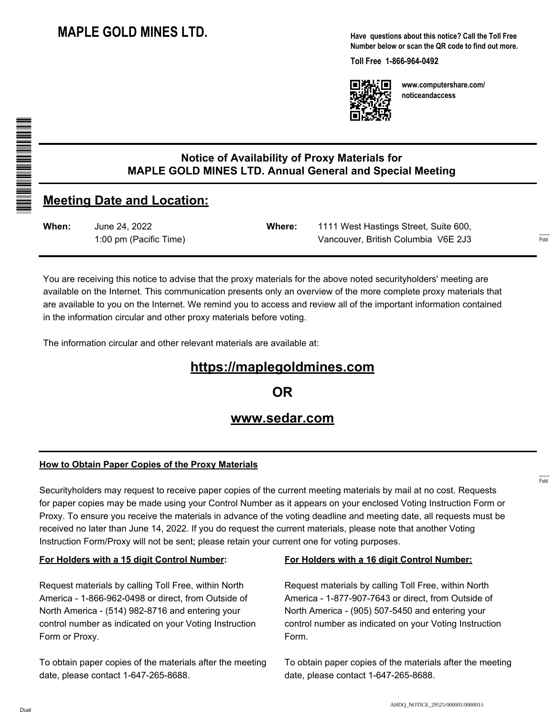**Have questions about this notice? Call the Toll Free Number below or scan the QR code to find out more.**

**Toll Free 1-866-964-0492**



**www.computershare.com/ noticeandaccess**

**When:** June 24, 2022 1:00 pm (Pacific Time)

**Meeting Date and Location:**

**Notice of Availability of Proxy Materials for MAPLE GOLD MINES LTD. Annual General and Special Meeting**

> **Where:** 1111 West Hastings Street, Suite 600, Vancouver, British Columbia V6E 2J3

You are receiving this notice to advise that the proxy materials for the above noted securityholders' meeting are available on the Internet. This communication presents only an overview of the more complete proxy materials that are available to you on the Internet. We remind you to access and review all of the important information contained in the information circular and other proxy materials before voting.

The information circular and other relevant materials are available at:

# **https://maplegoldmines.com**

**OR**

## **www.sedar.com**

#### **How to Obtain Paper Copies of the Proxy Materials**

Securityholders may request to receive paper copies of the current meeting materials by mail at no cost. Requests for paper copies may be made using your Control Number as it appears on your enclosed Voting Instruction Form or Proxy. To ensure you receive the materials in advance of the voting deadline and meeting date, all requests must be received no later than June 14, 2022. If you do request the current materials, please note that another Voting Instruction Form/Proxy will not be sent; please retain your current one for voting purposes.

#### **For Holders with a 15 digit Control Number:**

Request materials by calling Toll Free, within North America - 1-866-962-0498 or direct, from Outside of North America - (514) 982-8716 and entering your control number as indicated on your Voting Instruction Form or Proxy.

To obtain paper copies of the materials after the meeting date, please contact 1-647-265-8688.

#### **For Holders with a 16 digit Control Number:**

Request materials by calling Toll Free, within North America - 1-877-907-7643 or direct, from Outside of North America - (905) 507-5450 and entering your control number as indicated on your Voting Instruction Form.

To obtain paper copies of the materials after the meeting date, please contact 1-647-265-8688.

------- Fold